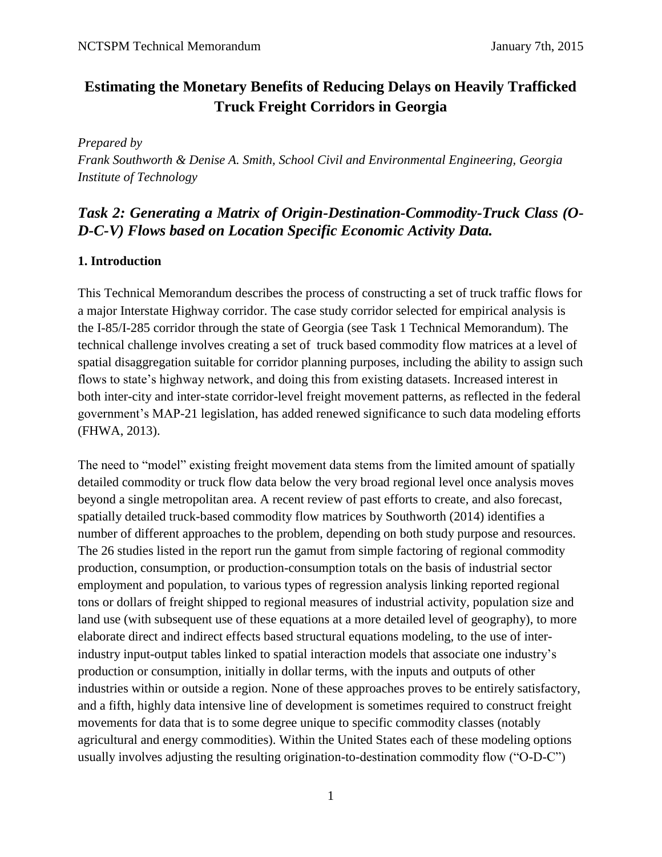# **Estimating the Monetary Benefits of Reducing Delays on Heavily Trafficked Truck Freight Corridors in Georgia**

*Prepared by* 

*Frank Southworth & Denise A. Smith, School Civil and Environmental Engineering, Georgia Institute of Technology*

# *Task 2: Generating a Matrix of Origin-Destination-Commodity-Truck Class (O-D-C-V) Flows based on Location Specific Economic Activity Data.*

### **1. Introduction**

This Technical Memorandum describes the process of constructing a set of truck traffic flows for a major Interstate Highway corridor. The case study corridor selected for empirical analysis is the I-85/I-285 corridor through the state of Georgia (see Task 1 Technical Memorandum). The technical challenge involves creating a set of truck based commodity flow matrices at a level of spatial disaggregation suitable for corridor planning purposes, including the ability to assign such flows to state's highway network, and doing this from existing datasets. Increased interest in both inter-city and inter-state corridor-level freight movement patterns, as reflected in the federal government's MAP-21 legislation, has added renewed significance to such data modeling efforts (FHWA, 2013).

The need to "model" existing freight movement data stems from the limited amount of spatially detailed commodity or truck flow data below the very broad regional level once analysis moves beyond a single metropolitan area. A recent review of past efforts to create, and also forecast, spatially detailed truck-based commodity flow matrices by Southworth (2014) identifies a number of different approaches to the problem, depending on both study purpose and resources. The 26 studies listed in the report run the gamut from simple factoring of regional commodity production, consumption, or production-consumption totals on the basis of industrial sector employment and population, to various types of regression analysis linking reported regional tons or dollars of freight shipped to regional measures of industrial activity, population size and land use (with subsequent use of these equations at a more detailed level of geography), to more elaborate direct and indirect effects based structural equations modeling, to the use of interindustry input-output tables linked to spatial interaction models that associate one industry's production or consumption, initially in dollar terms, with the inputs and outputs of other industries within or outside a region. None of these approaches proves to be entirely satisfactory, and a fifth, highly data intensive line of development is sometimes required to construct freight movements for data that is to some degree unique to specific commodity classes (notably agricultural and energy commodities). Within the United States each of these modeling options usually involves adjusting the resulting origination-to-destination commodity flow ("O-D-C")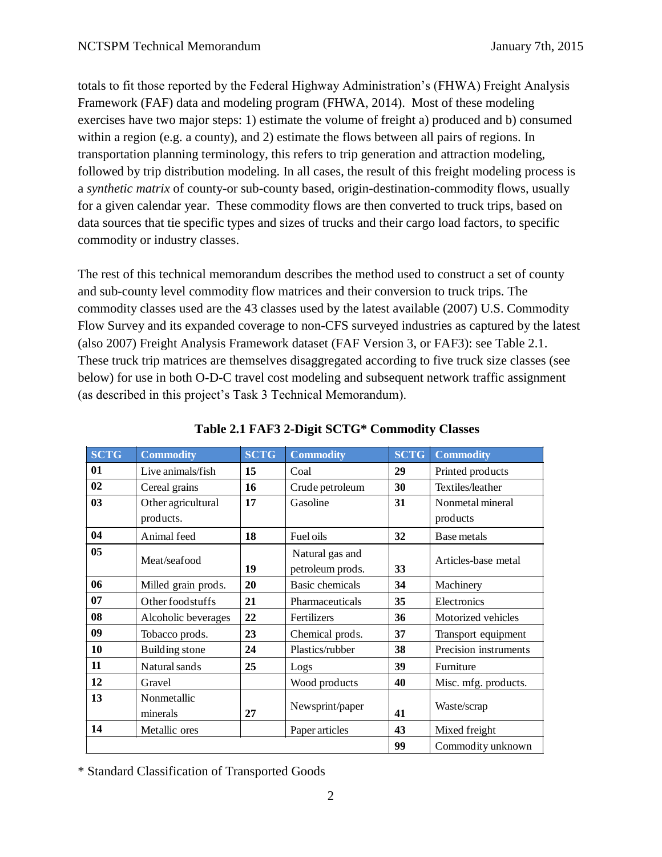totals to fit those reported by the Federal Highway Administration's (FHWA) Freight Analysis Framework (FAF) data and modeling program (FHWA, 2014). Most of these modeling exercises have two major steps: 1) estimate the volume of freight a) produced and b) consumed within a region (e.g. a county), and 2) estimate the flows between all pairs of regions. In transportation planning terminology, this refers to trip generation and attraction modeling, followed by trip distribution modeling. In all cases, the result of this freight modeling process is a *synthetic matrix* of county-or sub-county based, origin-destination-commodity flows, usually for a given calendar year. These commodity flows are then converted to truck trips, based on data sources that tie specific types and sizes of trucks and their cargo load factors, to specific commodity or industry classes.

The rest of this technical memorandum describes the method used to construct a set of county and sub-county level commodity flow matrices and their conversion to truck trips. The commodity classes used are the 43 classes used by the latest available (2007) U.S. Commodity Flow Survey and its expanded coverage to non-CFS surveyed industries as captured by the latest (also 2007) Freight Analysis Framework dataset (FAF Version 3, or FAF3): see Table 2.1. These truck trip matrices are themselves disaggregated according to five truck size classes (see below) for use in both O-D-C travel cost modeling and subsequent network traffic assignment (as described in this project's Task 3 Technical Memorandum).

| <b>SCTG</b> | <b>Commodity</b>        | <b>SCTG</b> | <b>Commodity</b>                    | <b>SCTG</b> | <b>Commodity</b>      |
|-------------|-------------------------|-------------|-------------------------------------|-------------|-----------------------|
| 01          | Live animals/fish       | 15          | Coal                                | 29          | Printed products      |
| 02          | Cereal grains           | 16          | Crude petroleum                     | 30          | Textiles/leather      |
| 03          | Other agricultural      | 17          | Gasoline                            | 31          | Nonmetal mineral      |
|             | products.               |             |                                     |             | products              |
| 04          | Animal feed             | 18          | Fuel oils                           | 32          | Base metals           |
| 05          | Meat/seafood            | 19          | Natural gas and<br>petroleum prods. | 33          | Articles-base metal   |
| 06          | Milled grain prods.     | 20          | <b>Basic chemicals</b>              | 34          | Machinery             |
| 07          | Other food stuffs       | 21          | Pharmaceuticals                     | 35          | Electronics           |
| 08          | Alcoholic beverages     | 22          | Fertilizers                         | 36          | Motorized vehicles    |
| 09          | Tobacco prods.          | 23          | Chemical prods.                     | 37          | Transport equipment   |
| 10          | Building stone          | 24          | Plastics/rubber                     | 38          | Precision instruments |
| 11          | Natural sands           | 25          | Logs                                | 39          | Furniture             |
| 12          | Gravel                  |             | Wood products                       | 40          | Misc. mfg. products.  |
| 13          | Nonmetallic<br>minerals | 27          | Newsprint/paper                     | 41          | Waste/scrap           |
| 14          | Metallic ores           |             | Paper articles                      | 43          | Mixed freight         |
|             |                         |             |                                     | 99          | Commodity unknown     |

### **Table 2.1 FAF3 2-Digit SCTG\* Commodity Classes**

\* Standard Classification of Transported Goods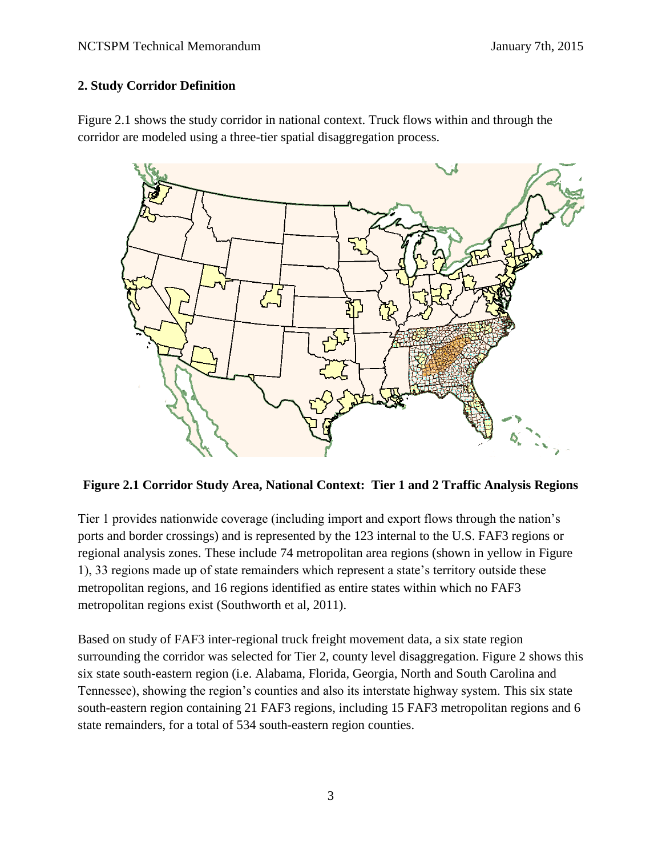### **2. Study Corridor Definition**

Figure 2.1 shows the study corridor in national context. Truck flows within and through the corridor are modeled using a three-tier spatial disaggregation process.



**Figure 2.1 Corridor Study Area, National Context: Tier 1 and 2 Traffic Analysis Regions**

Tier 1 provides nationwide coverage (including import and export flows through the nation's ports and border crossings) and is represented by the 123 internal to the U.S. FAF3 regions or regional analysis zones. These include 74 metropolitan area regions (shown in yellow in Figure 1), 33 regions made up of state remainders which represent a state's territory outside these metropolitan regions, and 16 regions identified as entire states within which no FAF3 metropolitan regions exist (Southworth et al, 2011).

Based on study of FAF3 inter-regional truck freight movement data, a six state region surrounding the corridor was selected for Tier 2, county level disaggregation. Figure 2 shows this six state south-eastern region (i.e. Alabama, Florida, Georgia, North and South Carolina and Tennessee), showing the region's counties and also its interstate highway system. This six state south-eastern region containing 21 FAF3 regions, including 15 FAF3 metropolitan regions and 6 state remainders, for a total of 534 south-eastern region counties.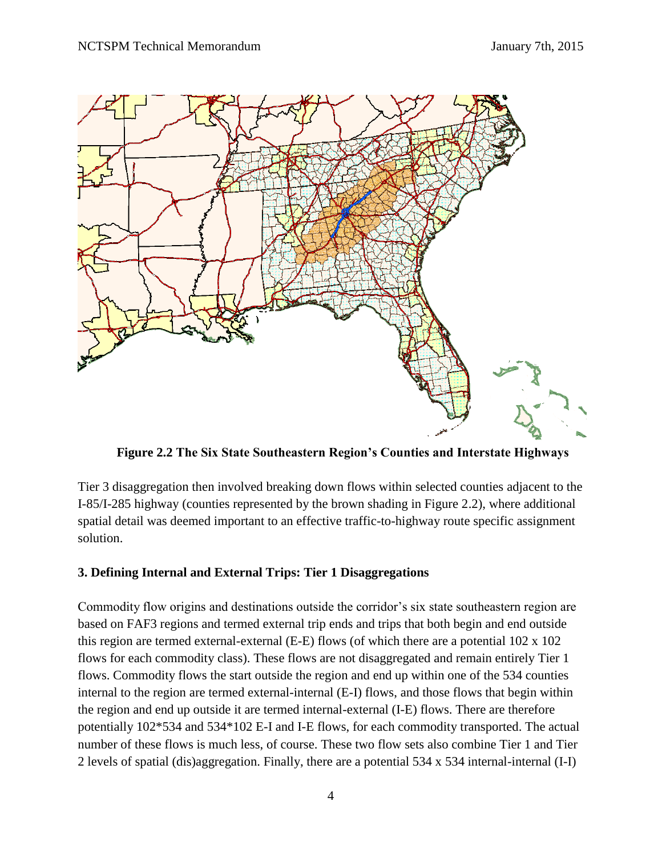

**Figure 2.2 The Six State Southeastern Region's Counties and Interstate Highways**

Tier 3 disaggregation then involved breaking down flows within selected counties adjacent to the I-85/I-285 highway (counties represented by the brown shading in Figure 2.2), where additional spatial detail was deemed important to an effective traffic-to-highway route specific assignment solution.

### **3. Defining Internal and External Trips: Tier 1 Disaggregations**

Commodity flow origins and destinations outside the corridor's six state southeastern region are based on FAF3 regions and termed external trip ends and trips that both begin and end outside this region are termed external-external (E-E) flows (of which there are a potential 102 x 102 flows for each commodity class). These flows are not disaggregated and remain entirely Tier 1 flows. Commodity flows the start outside the region and end up within one of the 534 counties internal to the region are termed external-internal (E-I) flows, and those flows that begin within the region and end up outside it are termed internal-external (I-E) flows. There are therefore potentially 102\*534 and 534\*102 E-I and I-E flows, for each commodity transported. The actual number of these flows is much less, of course. These two flow sets also combine Tier 1 and Tier 2 levels of spatial (dis)aggregation. Finally, there are a potential 534 x 534 internal-internal (I-I)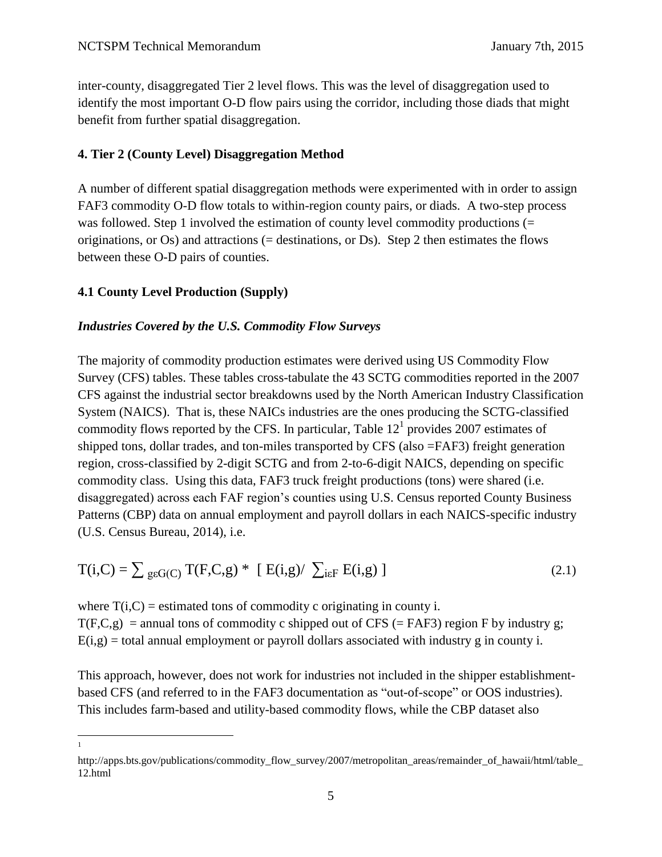inter-county, disaggregated Tier 2 level flows. This was the level of disaggregation used to identify the most important O-D flow pairs using the corridor, including those diads that might benefit from further spatial disaggregation.

### **4. Tier 2 (County Level) Disaggregation Method**

A number of different spatial disaggregation methods were experimented with in order to assign FAF3 commodity O-D flow totals to within-region county pairs, or diads. A two-step process was followed. Step 1 involved the estimation of county level commodity productions (= originations, or  $Os$ ) and attractions (= destinations, or  $Ds$ ). Step 2 then estimates the flows between these O-D pairs of counties.

### **4.1 County Level Production (Supply)**

#### *Industries Covered by the U.S. Commodity Flow Surveys*

The majority of commodity production estimates were derived using US Commodity Flow Survey (CFS) tables. These tables cross-tabulate the 43 SCTG commodities reported in the 2007 CFS against the industrial sector breakdowns used by the North American Industry Classification System (NAICS). That is, these NAICs industries are the ones producing the SCTG-classified commodity flows reported by the CFS. In particular, Table  $12<sup>1</sup>$  provides 2007 estimates of shipped tons, dollar trades, and ton-miles transported by CFS (also =FAF3) freight generation region, cross-classified by 2-digit SCTG and from 2-to-6-digit NAICS, depending on specific commodity class. Using this data, FAF3 truck freight productions (tons) were shared (i.e. disaggregated) across each FAF region's counties using U.S. Census reported County Business Patterns (CBP) data on annual employment and payroll dollars in each NAICS-specific industry (U.S. Census Bureau, 2014), i.e.

$$
T(i, C) = \sum_{g \in G(C)} T(F, C, g) * [E(i, g) / \sum_{i \in F} E(i, g)]
$$
\n(2.1)

where  $T(i, C)$  = estimated tons of commodity c originating in county i.  $T(F,C,g)$  = annual tons of commodity c shipped out of CFS (= FAF3) region F by industry g;  $E(i,g) =$  total annual employment or payroll dollars associated with industry g in county i.

This approach, however, does not work for industries not included in the shipper establishmentbased CFS (and referred to in the FAF3 documentation as "out-of-scope" or OOS industries). This includes farm-based and utility-based commodity flows, while the CBP dataset also

 $\overline{a}$ 1

http://apps.bts.gov/publications/commodity\_flow\_survey/2007/metropolitan\_areas/remainder\_of\_hawaii/html/table 12.html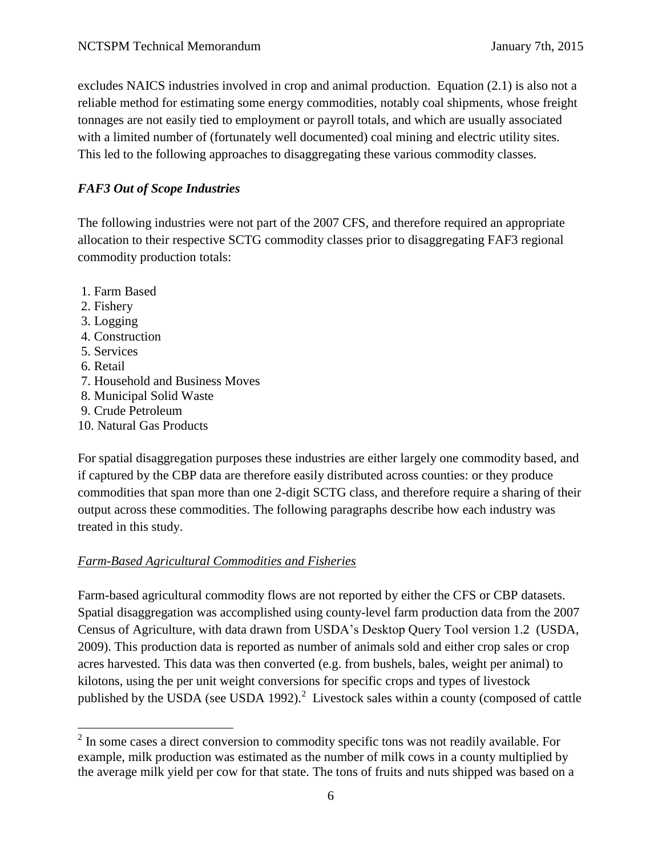excludes NAICS industries involved in crop and animal production. Equation (2.1) is also not a reliable method for estimating some energy commodities, notably coal shipments, whose freight tonnages are not easily tied to employment or payroll totals, and which are usually associated with a limited number of (fortunately well documented) coal mining and electric utility sites. This led to the following approaches to disaggregating these various commodity classes.

### *FAF3 Out of Scope Industries*

The following industries were not part of the 2007 CFS, and therefore required an appropriate allocation to their respective SCTG commodity classes prior to disaggregating FAF3 regional commodity production totals:

- 1. Farm Based
- 2. Fishery
- 3. Logging
- 4. Construction
- 5. Services
- 6. Retail

 $\overline{a}$ 

- 7. Household and Business Moves
- 8. Municipal Solid Waste
- 9. Crude Petroleum
- 10. Natural Gas Products

For spatial disaggregation purposes these industries are either largely one commodity based, and if captured by the CBP data are therefore easily distributed across counties: or they produce commodities that span more than one 2-digit SCTG class, and therefore require a sharing of their output across these commodities. The following paragraphs describe how each industry was treated in this study.

### *Farm-Based Agricultural Commodities and Fisheries*

Farm-based agricultural commodity flows are not reported by either the CFS or CBP datasets. Spatial disaggregation was accomplished using county-level farm production data from the 2007 Census of Agriculture, with data drawn from USDA's Desktop Query Tool version 1.2 (USDA, 2009). This production data is reported as number of animals sold and either crop sales or crop acres harvested. This data was then converted (e.g. from bushels, bales, weight per animal) to kilotons, using the per unit weight conversions for specific crops and types of livestock published by the USDA (see USDA 1992).<sup>2</sup> Livestock sales within a county (composed of cattle

 $2<sup>2</sup>$  In some cases a direct conversion to commodity specific tons was not readily available. For example, milk production was estimated as the number of milk cows in a county multiplied by the average milk yield per cow for that state. The tons of fruits and nuts shipped was based on a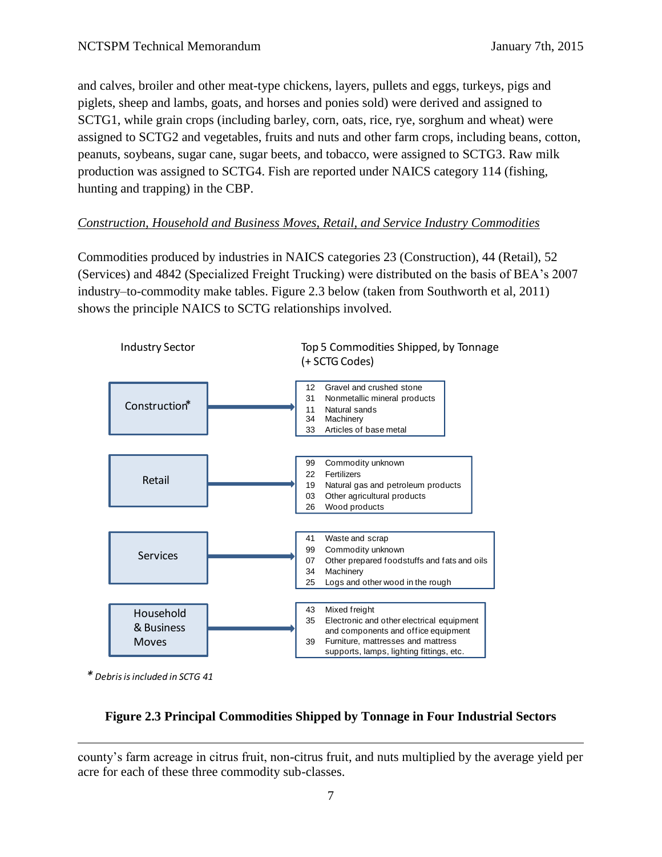and calves, broiler and other meat-type chickens, layers, pullets and eggs, turkeys, pigs and piglets, sheep and lambs, goats, and horses and ponies sold) were derived and assigned to SCTG1, while grain crops (including barley, corn, oats, rice, rye, sorghum and wheat) were assigned to SCTG2 and vegetables, fruits and nuts and other farm crops, including beans, cotton, peanuts, soybeans, sugar cane, sugar beets, and tobacco, were assigned to SCTG3. Raw milk production was assigned to SCTG4. Fish are reported under NAICS category 114 (fishing, hunting and trapping) in the CBP.

## *Construction, Household and Business Moves, Retail, and Service Industry Commodities*

Commodities produced by industries in NAICS categories 23 (Construction), 44 (Retail), 52 (Services) and 4842 (Specialized Freight Trucking) were distributed on the basis of BEA's 2007 industry–to-commodity make tables. Figure 2.3 below (taken from Southworth et al, 2011) shows the principle NAICS to SCTG relationships involved.



*\* Debris is included in SCTG 41*

 $\overline{a}$ 

# **Figure 2.3 Principal Commodities Shipped by Tonnage in Four Industrial Sectors**

county's farm acreage in citrus fruit, non-citrus fruit, and nuts multiplied by the average yield per acre for each of these three commodity sub-classes.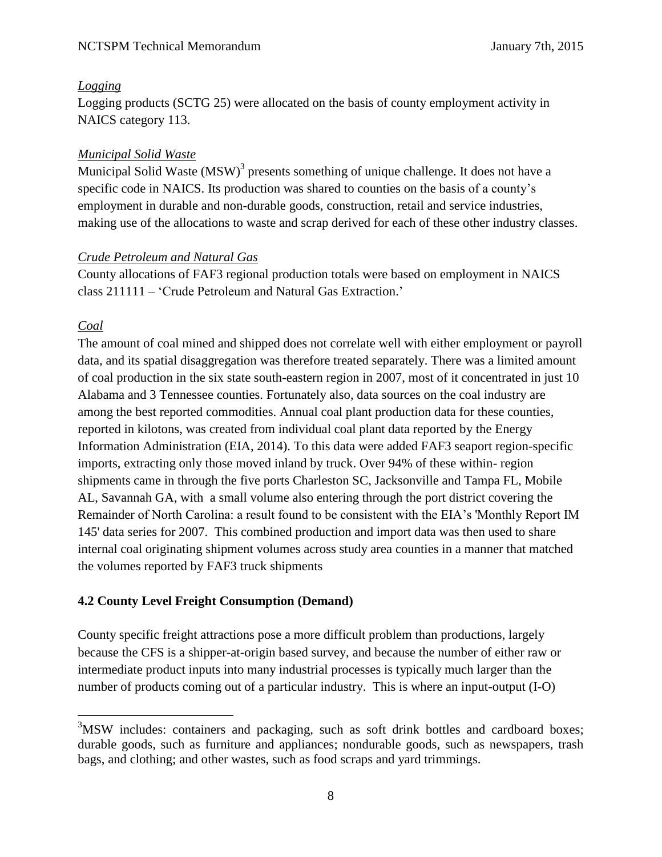### *Logging*

Logging products (SCTG 25) were allocated on the basis of county employment activity in NAICS category 113.

### *Municipal Solid Waste*

Municipal Solid Waste (MSW)<sup>3</sup> presents something of unique challenge. It does not have a specific code in NAICS. Its production was shared to counties on the basis of a county's employment in durable and non-durable goods, construction, retail and service industries, making use of the allocations to waste and scrap derived for each of these other industry classes.

### *Crude Petroleum and Natural Gas*

County allocations of FAF3 regional production totals were based on employment in NAICS class 211111 – 'Crude Petroleum and Natural Gas Extraction.'

### *Coal*

 $\overline{a}$ 

The amount of coal mined and shipped does not correlate well with either employment or payroll data, and its spatial disaggregation was therefore treated separately. There was a limited amount of coal production in the six state south-eastern region in 2007, most of it concentrated in just 10 Alabama and 3 Tennessee counties. Fortunately also, data sources on the coal industry are among the best reported commodities. Annual coal plant production data for these counties, reported in kilotons, was created from individual coal plant data reported by the Energy Information Administration (EIA, 2014). To this data were added FAF3 seaport region-specific imports, extracting only those moved inland by truck. Over 94% of these within- region shipments came in through the five ports Charleston SC, Jacksonville and Tampa FL, Mobile AL, Savannah GA, with a small volume also entering through the port district covering the Remainder of North Carolina: a result found to be consistent with the EIA's 'Monthly Report IM 145' data series for 2007. This combined production and import data was then used to share internal coal originating shipment volumes across study area counties in a manner that matched the volumes reported by FAF3 truck shipments

# **4.2 County Level Freight Consumption (Demand)**

County specific freight attractions pose a more difficult problem than productions, largely because the CFS is a shipper-at-origin based survey, and because the number of either raw or intermediate product inputs into many industrial processes is typically much larger than the number of products coming out of a particular industry. This is where an input-output (I-O)

<sup>&</sup>lt;sup>3</sup>MSW includes: containers and packaging, such as soft drink bottles and cardboard boxes; durable goods, such as furniture and appliances; nondurable goods, such as newspapers, trash bags, and clothing; and other wastes, such as food scraps and yard trimmings.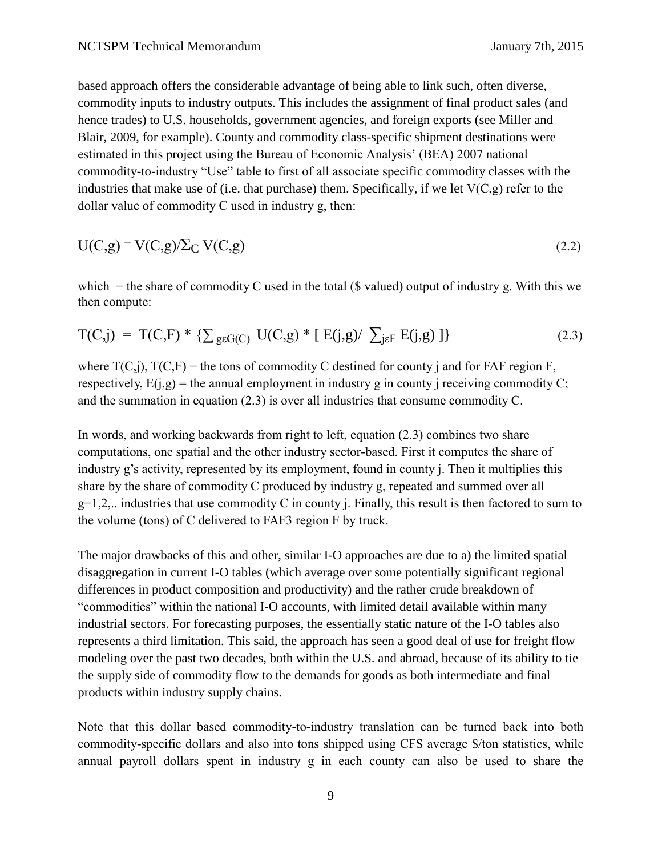based approach offers the considerable advantage of being able to link such, often diverse, commodity inputs to industry outputs. This includes the assignment of final product sales (and hence trades) to U.S. households, government agencies, and foreign exports (see Miller and Blair, 2009, for example). County and commodity class-specific shipment destinations were estimated in this project using the Bureau of Economic Analysis' (BEA) 2007 national commodity-to-industry "Use" table to first of all associate specific commodity classes with the industries that make use of (i.e. that purchase) them. Specifically, if we let  $V(C, g)$  refer to the dollar value of commodity C used in industry g, then:

$$
U(C,g) = V(C,g)/\Sigma_C V(C,g)
$$
\n(2.2)

which  $=$  the share of commodity C used in the total (\$ valued) output of industry g. With this we then compute:

$$
T(C,j) = T(C,F) * \{ \sum_{g \in G(C)} U(C,g) * [E(j,g) / \sum_{j \in F} E(j,g)] \}
$$
\n(2.3)

where  $T(C,i)$ ,  $T(C,F)$  = the tons of commodity C destined for county j and for FAF region F, respectively,  $E(i,g)$  = the annual employment in industry g in county j receiving commodity C; and the summation in equation (2.3) is over all industries that consume commodity C.

In words, and working backwards from right to left, equation (2.3) combines two share computations, one spatial and the other industry sector-based. First it computes the share of industry g's activity, represented by its employment, found in county j. Then it multiplies this share by the share of commodity C produced by industry g, repeated and summed over all  $g=1,2,$ ... industries that use commodity C in county j. Finally, this result is then factored to sum to the volume (tons) of C delivered to FAF3 region F by truck.

The major drawbacks of this and other, similar I-O approaches are due to a) the limited spatial disaggregation in current I-O tables (which average over some potentially significant regional differences in product composition and productivity) and the rather crude breakdown of "commodities" within the national I-O accounts, with limited detail available within many industrial sectors. For forecasting purposes, the essentially static nature of the I-O tables also represents a third limitation. This said, the approach has seen a good deal of use for freight flow modeling over the past two decades, both within the U.S. and abroad, because of its ability to tie the supply side of commodity flow to the demands for goods as both intermediate and final products within industry supply chains.

Note that this dollar based commodity-to-industry translation can be turned back into both commodity-specific dollars and also into tons shipped using CFS average \$/ton statistics, while annual payroll dollars spent in industry g in each county can also be used to share the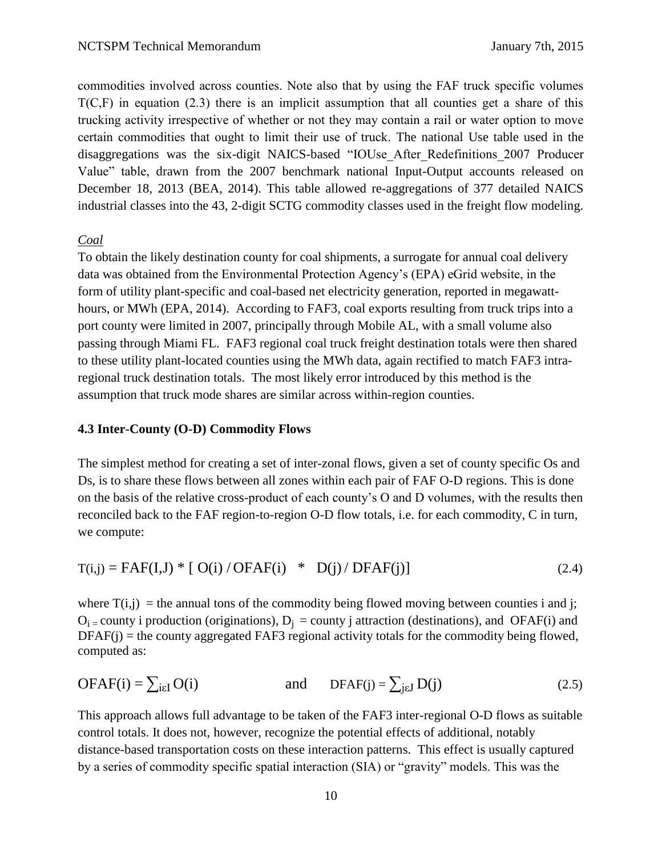commodities involved across counties. Note also that by using the FAF truck specific volumes  $T(C,F)$  in equation (2.3) there is an implicit assumption that all counties get a share of this trucking activity irrespective of whether or not they may contain a rail or water option to move certain commodities that ought to limit their use of truck. The national Use table used in the disaggregations was the six-digit NAICS-based "IOUse\_After\_Redefinitions\_2007 Producer Value" table, drawn from the 2007 benchmark national Input-Output accounts released on December 18, 2013 (BEA, 2014). This table allowed re-aggregations of 377 detailed NAICS industrial classes into the 43, 2-digit SCTG commodity classes used in the freight flow modeling.

#### *Coal*

To obtain the likely destination county for coal shipments, a surrogate for annual coal delivery data was obtained from the Environmental Protection Agency's (EPA) eGrid website, in the form of utility plant-specific and coal-based net electricity generation, reported in megawatthours, or MWh (EPA, 2014). According to FAF3, coal exports resulting from truck trips into a port county were limited in 2007, principally through Mobile AL, with a small volume also passing through Miami FL. FAF3 regional coal truck freight destination totals were then shared to these utility plant-located counties using the MWh data, again rectified to match FAF3 intraregional truck destination totals. The most likely error introduced by this method is the assumption that truck mode shares are similar across within-region counties.

#### **4.3 Inter-County (O-D) Commodity Flows**

The simplest method for creating a set of inter-zonal flows, given a set of county specific Os and Ds, is to share these flows between all zones within each pair of FAF O-D regions. This is done on the basis of the relative cross-product of each county's O and D volumes, with the results then reconciled back to the FAF region-to-region O-D flow totals, i.e. for each commodity, C in turn, we compute:

$$
T(i,j) = FAF(I,J) * [O(i) / OFAF(i) * D(j) / DFAF(j)]
$$
\n(2.4)

where  $T(i,j)$  = the annual tons of the commodity being flowed moving between counties i and j;  $O_i$  = county i production (originations),  $D_i$  = county j attraction (destinations), and OFAF(i) and  $DFAF(j)$  = the county aggregated FAF3 regional activity totals for the commodity being flowed, computed as:

$$
OFAF(i) = \sum_{i \in I} O(i) \qquad \text{and} \qquad DFAF(j) = \sum_{j \in J} D(j) \qquad (2.5)
$$

This approach allows full advantage to be taken of the FAF3 inter-regional O-D flows as suitable control totals. It does not, however, recognize the potential effects of additional, notably distance-based transportation costs on these interaction patterns. This effect is usually captured by a series of commodity specific spatial interaction (SIA) or "gravity" models. This was the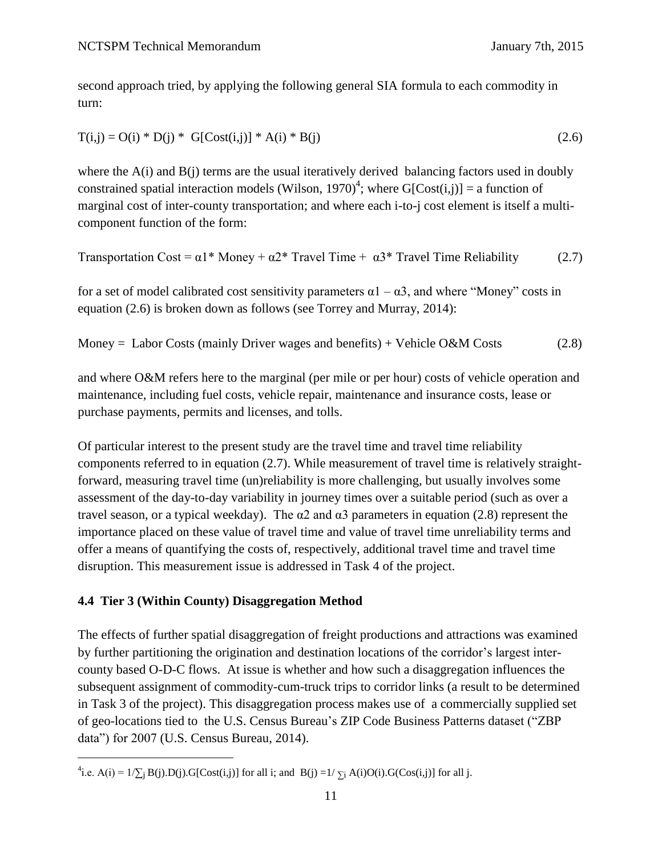second approach tried, by applying the following general SIA formula to each commodity in turn:

$$
T(i,j) = O(i) * D(j) * G[Cost(i,j)] * A(i) * B(j)
$$
\n(2.6)

where the  $A(i)$  and  $B(i)$  terms are the usual iteratively derived balancing factors used in doubly constrained spatial interaction models (Wilson, 1970)<sup>4</sup>; where G[Cost(i,j)] = a function of marginal cost of inter-county transportation; and where each i-to-j cost element is itself a multicomponent function of the form:

Transportation Cost = 
$$
\alpha
$$
1\* Money +  $\alpha$ 2\* Travel Time +  $\alpha$ 3\* Travel Time Reliability (2.7)

for a set of model calibrated cost sensitivity parameters  $\alpha$ 1 –  $\alpha$ 3, and where "Money" costs in equation (2.6) is broken down as follows (see Torrey and Murray, 2014):

Money = Labor Costs (mainly Driver wages and benefits) + Vehicle O&M Costs  $(2.8)$ 

and where O&M refers here to the marginal (per mile or per hour) costs of vehicle operation and maintenance, including fuel costs, vehicle repair, maintenance and insurance costs, lease or purchase payments, permits and licenses, and tolls.

Of particular interest to the present study are the travel time and travel time reliability components referred to in equation (2.7). While measurement of travel time is relatively straightforward, measuring travel time (un)reliability is more challenging, but usually involves some assessment of the day-to-day variability in journey times over a suitable period (such as over a travel season, or a typical weekday). The  $\alpha$ 2 and  $\alpha$ 3 parameters in equation (2.8) represent the importance placed on these value of travel time and value of travel time unreliability terms and offer a means of quantifying the costs of, respectively, additional travel time and travel time disruption. This measurement issue is addressed in Task 4 of the project.

#### **4.4 Tier 3 (Within County) Disaggregation Method**

 $\overline{a}$ 

The effects of further spatial disaggregation of freight productions and attractions was examined by further partitioning the origination and destination locations of the corridor's largest intercounty based O-D-C flows. At issue is whether and how such a disaggregation influences the subsequent assignment of commodity-cum-truck trips to corridor links (a result to be determined in Task 3 of the project). This disaggregation process makes use of a commercially supplied set of geo-locations tied to the U.S. Census Bureau's ZIP Code Business Patterns dataset ("ZBP data") for 2007 (U.S. Census Bureau, 2014).

<sup>&</sup>lt;sup>4</sup>i.e. A(i) = 1/ $\Sigma_j$  B(j).D(j).G[Cost(i,j)] for all i; and B(j) =1/ $\Sigma_j$  A(i)O(i).G(Cos(i,j)] for all j.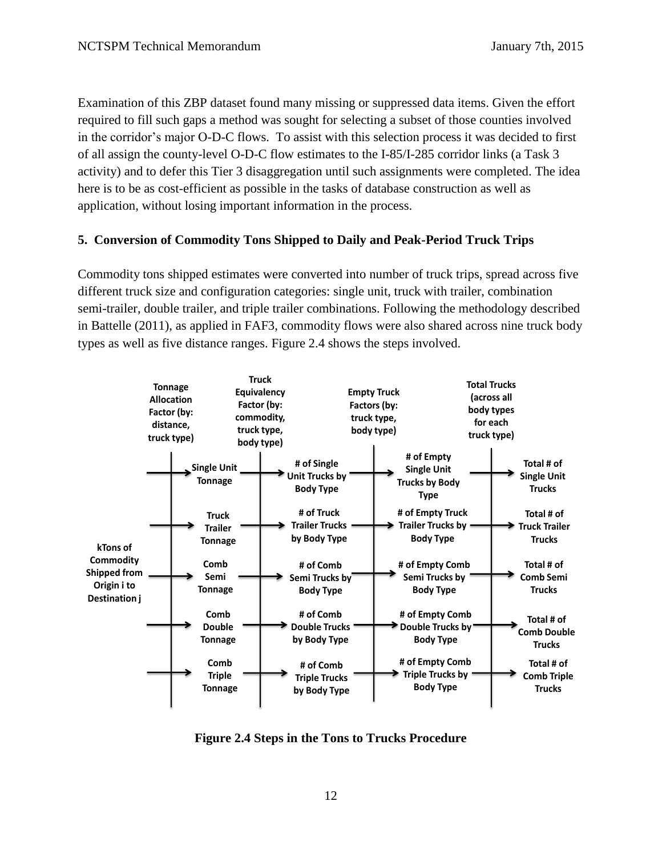Examination of this ZBP dataset found many missing or suppressed data items. Given the effort required to fill such gaps a method was sought for selecting a subset of those counties involved in the corridor's major O-D-C flows. To assist with this selection process it was decided to first of all assign the county-level O-D-C flow estimates to the I-85/I-285 corridor links (a Task 3 activity) and to defer this Tier 3 disaggregation until such assignments were completed. The idea here is to be as cost-efficient as possible in the tasks of database construction as well as application, without losing important information in the process.

### **5. Conversion of Commodity Tons Shipped to Daily and Peak-Period Truck Trips**

Commodity tons shipped estimates were converted into number of truck trips, spread across five different truck size and configuration categories: single unit, truck with trailer, combination semi-trailer, double trailer, and triple trailer combinations. Following the methodology described in Battelle (2011), as applied in FAF3, commodity flows were also shared across nine truck body types as well as five distance ranges. Figure 2.4 shows the steps involved.



**Figure 2.4 Steps in the Tons to Trucks Procedure**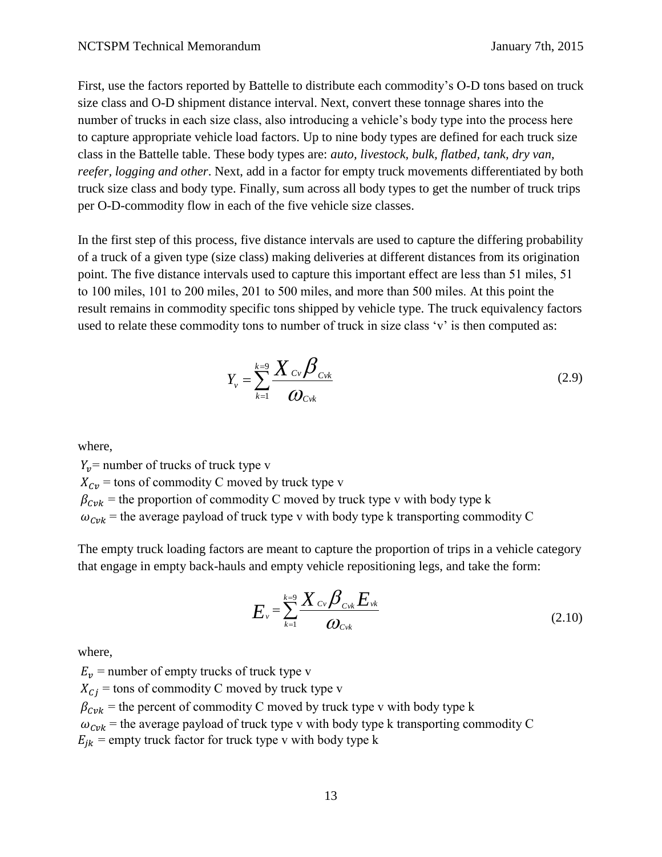First, use the factors reported by Battelle to distribute each commodity's O-D tons based on truck size class and O-D shipment distance interval. Next, convert these tonnage shares into the number of trucks in each size class, also introducing a vehicle's body type into the process here to capture appropriate vehicle load factors. Up to nine body types are defined for each truck size class in the Battelle table. These body types are: *auto, livestock, bulk, flatbed, tank, dry van, reefer, logging and other*. Next, add in a factor for empty truck movements differentiated by both truck size class and body type. Finally, sum across all body types to get the number of truck trips per O-D-commodity flow in each of the five vehicle size classes.

In the first step of this process, five distance intervals are used to capture the differing probability of a truck of a given type (size class) making deliveries at different distances from its origination point. The five distance intervals used to capture this important effect are less than 51 miles, 51 to 100 miles, 101 to 200 miles, 201 to 500 miles, and more than 500 miles. At this point the result remains in commodity specific tons shipped by vehicle type. The truck equivalency factors used to relate these commodity tons to number of truck in size class 'v' is then computed as:

$$
Y_{\nu} = \sum_{k=1}^{k=9} \frac{\boldsymbol{X}_{C\nu} \boldsymbol{\beta}_{C\nu k}}{\boldsymbol{\omega}_{C\nu k}}
$$
(2.9)

where,

 $Y_v$  = number of trucks of truck type v  $X_{\text{cv}}$  = tons of commodity C moved by truck type v  $\beta_{Cvk}$  = the proportion of commodity C moved by truck type v with body type k  $\omega_{\text{C}vk}$  = the average payload of truck type v with body type k transporting commodity C

The empty truck loading factors are meant to capture the proportion of trips in a vehicle category that engage in empty back-hauls and empty vehicle repositioning legs, and take the form:

$$
E_v = \sum_{k=1}^{k=9} \frac{X_{cv} \beta_{cvk}}{\omega_{cvk}}
$$
(2.10)

where,

 $E_v$  = number of empty trucks of truck type v

 $X_{C_i}$  = tons of commodity C moved by truck type v

 $\beta_{Cvk}$  = the percent of commodity C moved by truck type v with body type k

 $\omega_{Cvk}$  = the average payload of truck type v with body type k transporting commodity C

 $E_{ik}$  = empty truck factor for truck type v with body type k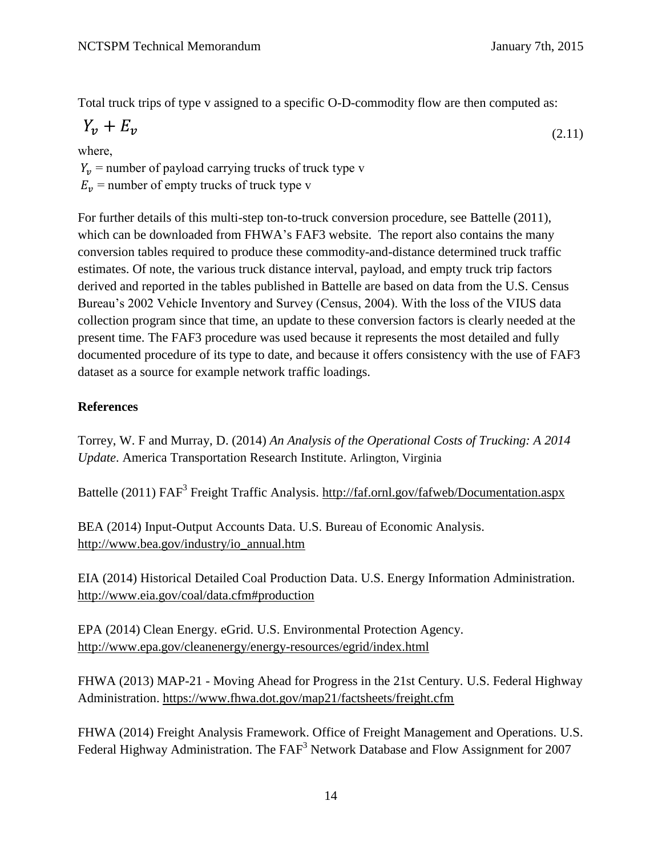Total truck trips of type v assigned to a specific O-D-commodity flow are then computed as:

$$
Y_v + E_v \tag{2.11}
$$

where,

 $Y_v$  = number of payload carrying trucks of truck type v

 $E_v$  = number of empty trucks of truck type v

For further details of this multi-step ton-to-truck conversion procedure, see Battelle (2011), which can be downloaded from FHWA's FAF3 website. The report also contains the many conversion tables required to produce these commodity-and-distance determined truck traffic estimates. Of note, the various truck distance interval, payload, and empty truck trip factors derived and reported in the tables published in Battelle are based on data from the U.S. Census Bureau's 2002 Vehicle Inventory and Survey (Census, 2004). With the loss of the VIUS data collection program since that time, an update to these conversion factors is clearly needed at the present time. The FAF3 procedure was used because it represents the most detailed and fully documented procedure of its type to date, and because it offers consistency with the use of FAF3 dataset as a source for example network traffic loadings.

## **References**

Torrey, W. F and Murray, D. (2014) *An Analysis of the Operational Costs of Trucking: A 2014 Update*. America Transportation Research Institute. Arlington, Virginia

Battelle (2011) FAF<sup>3</sup> Freight Traffic Analysis. <http://faf.ornl.gov/fafweb/Documentation.aspx>

BEA (2014) Input-Output Accounts Data. U.S. Bureau of Economic Analysis. [http://www.bea.gov/industry/io\\_annual.htm](http://www.bea.gov/industry/io_annual.htm)

EIA (2014) Historical Detailed Coal Production Data. U.S. Energy Information Administration. <http://www.eia.gov/coal/data.cfm#production>

EPA (2014) Clean Energy. eGrid. U.S. Environmental Protection Agency. <http://www.epa.gov/cleanenergy/energy-resources/egrid/index.html>

FHWA (2013) MAP-21 - Moving Ahead for Progress in the 21st Century. U.S. Federal Highway Administration.<https://www.fhwa.dot.gov/map21/factsheets/freight.cfm>

FHWA (2014) Freight Analysis Framework. Office of Freight Management and Operations. U.S. Federal Highway Administration. The FAF<sup>3</sup> Network Database and Flow Assignment for 2007